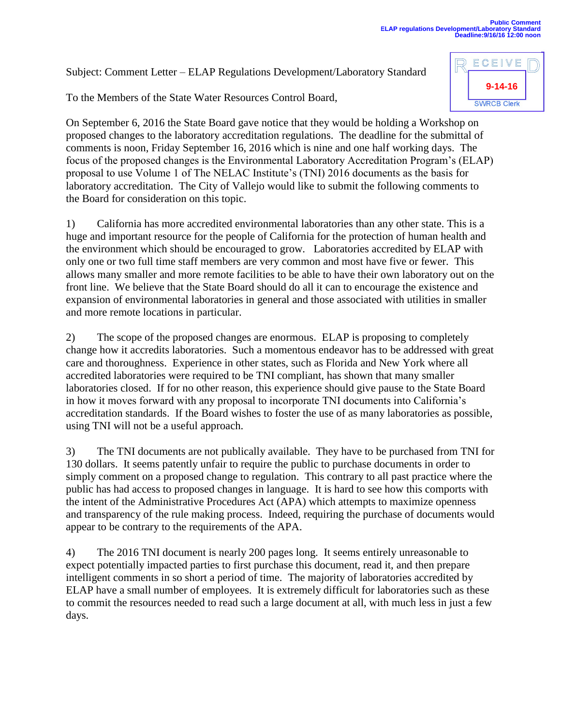Subject: Comment Letter – ELAP Regulations Development/Laboratory Standard

To the Members of the State Water Resources Control Board,

On September 6, 2016 the State Board gave notice that they would be holding a Workshop on proposed changes to the laboratory accreditation regulations. The deadline for the submittal of comments is noon, Friday September 16, 2016 which is nine and one half working days. The focus of the proposed changes is the Environmental Laboratory Accreditation Program's (ELAP) proposal to use Volume 1 of The NELAC Institute's (TNI) 2016 documents as the basis for laboratory accreditation. The City of Vallejo would like to submit the following comments to the Board for consideration on this topic.

1) California has more accredited environmental laboratories than any other state. This is a huge and important resource for the people of California for the protection of human health and the environment which should be encouraged to grow. Laboratories accredited by ELAP with only one or two full time staff members are very common and most have five or fewer. This allows many smaller and more remote facilities to be able to have their own laboratory out on the front line. We believe that the State Board should do all it can to encourage the existence and expansion of environmental laboratories in general and those associated with utilities in smaller and more remote locations in particular.

2) The scope of the proposed changes are enormous. ELAP is proposing to completely change how it accredits laboratories. Such a momentous endeavor has to be addressed with great care and thoroughness. Experience in other states, such as Florida and New York where all accredited laboratories were required to be TNI compliant, has shown that many smaller laboratories closed. If for no other reason, this experience should give pause to the State Board in how it moves forward with any proposal to incorporate TNI documents into California's accreditation standards. If the Board wishes to foster the use of as many laboratories as possible, using TNI will not be a useful approach.

3) The TNI documents are not publically available. They have to be purchased from TNI for 130 dollars. It seems patently unfair to require the public to purchase documents in order to simply comment on a proposed change to regulation. This contrary to all past practice where the public has had access to proposed changes in language. It is hard to see how this comports with the intent of the Administrative Procedures Act (APA) which attempts to maximize openness and transparency of the rule making process. Indeed, requiring the purchase of documents would appear to be contrary to the requirements of the APA.

4) The 2016 TNI document is nearly 200 pages long. It seems entirely unreasonable to expect potentially impacted parties to first purchase this document, read it, and then prepare intelligent comments in so short a period of time. The majority of laboratories accredited by ELAP have a small number of employees. It is extremely difficult for laboratories such as these to commit the resources needed to read such a large document at all, with much less in just a few days.